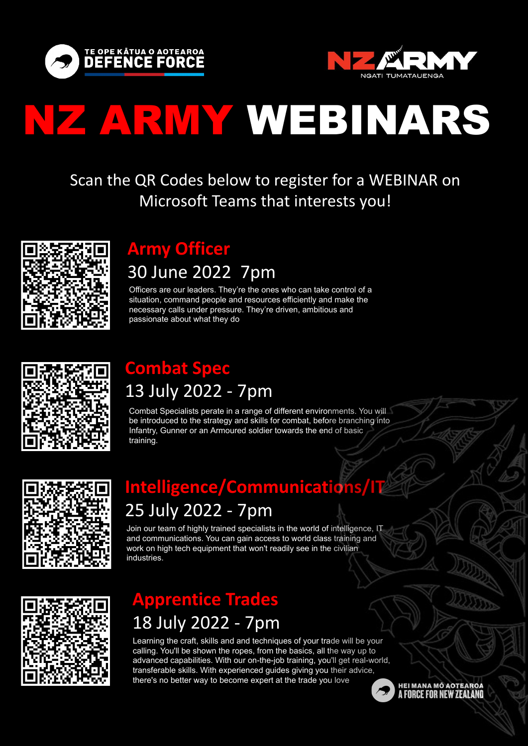



# NZ ARMY WEBINARS

### **Army Officer**

## 30 June 2022 7pm

Officers are our leaders. They're the ones who can take control of a situation, command people and resources efficiently and make the necessary calls under pressure. They're driven, ambitious and passionate about what they do



## **Combat Spec**  13 July 2022 - 7pm

Combat Specialists perate in a range of different environments. You will be introduced to the strategy and skills for combat, before branching into Infantry, [Gunner](https://www.defencecareers.mil.nz/army/careers/browse-roles/gunner/) or an [Armoured](https://www.defencecareers.mil.nz/army/careers/browse-roles/armoured/) soldier towards the end of basic training.



## **Intelligence/Communications/IT**  25 July 2022 - 7pm

Join our team of highly trained specialists in the world of intelligence, IT and communications. You can gain access to world class training and work on high tech equipment that won't readily see in the civilian industries.



## **Apprentice Trades**  18 July 2022 - 7pm

Learning the craft, skills and and techniques of your trade will be your calling. You'll be shown the ropes, from the basics, all the way up to advanced capabilities. With our on-the-job training, you'll get real-world, transferable skills. With experienced guides giving you their advice, there's no better way to become expert at the trade you love



Scan the QR Codes below to register for a WEBINAR on Microsoft Teams that interests you!

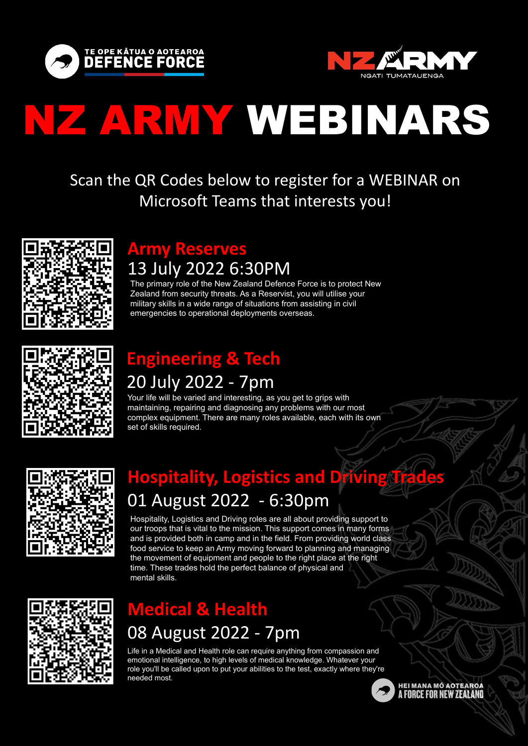



# NZ ARMY WEBINARS

The primary role of the New Zealand Defence Force is to protect New Zealand from security threats. As a Reservist, you will utilise your military skills in a wide range of situations from assisting in civil emergencies to operational deployments overseas.



# **Engineering & Tech**

## 20 July 2022 - 7pm

Your life will be varied and interesting, as you get to grips with maintaining, repairing and diagnosing any problems with our most complex equipment. There are many roles available, each with its own set of skills required.



# **Hospitality, Logistics and Driving Trades** 01 August 2022 - 6:30pm

#### **Army Reserves** 13 July 2022 6:30PM

Hospitality, Logistics and Driving roles are all about providing support to our troops that is vital to the mission. This support comes in many forms and is provided both in camp and in the field. From providing world class food service to keep an Army moving forward to planning and managing the movement of equipment and people to the right place at the right

time. These trades hold the perfect balance of physical and mental skills.



Scan the QR Codes below to register for a WEBINAR on Microsoft Teams that interests you!



### **Medical & Health** 08 August 2022 - 7pm

Life in a Medical and Health role can require anything from compassion and emotional intelligence, to high levels of medical knowledge. Whatever your role you'll be called upon to put your abilities to the test, exactly where they're needed most.

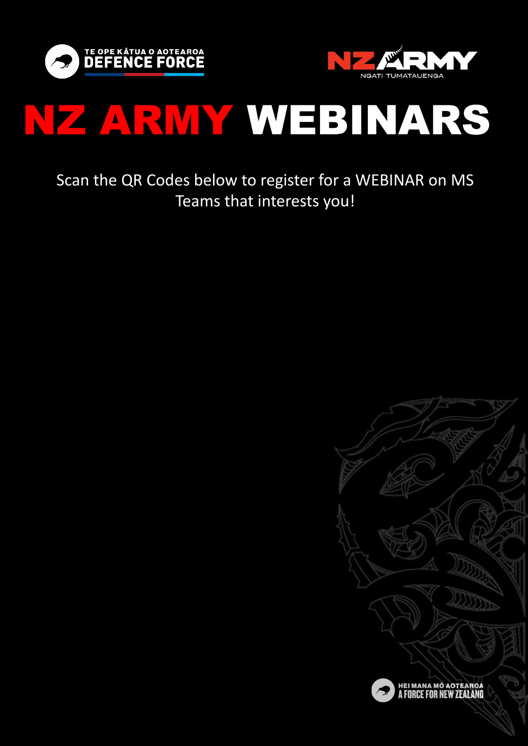



# NZ ARMY WEBINARS

### Scan the QR Codes below to register for a WEBINAR on MS Teams that interests you!



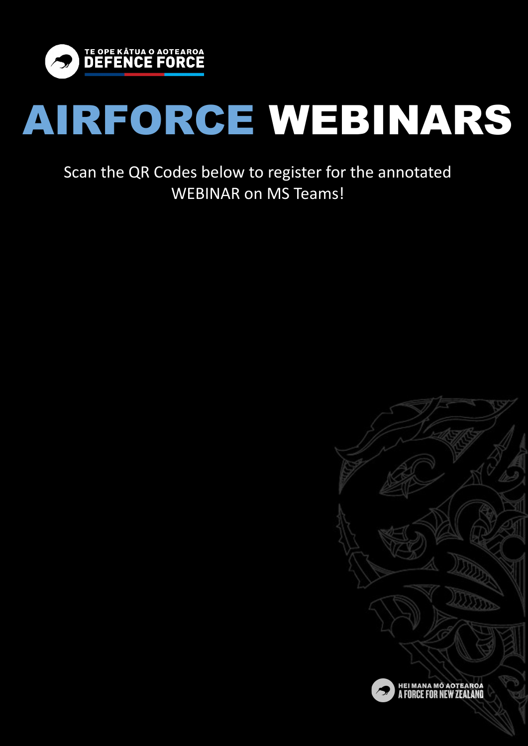

# AIRFORCE WEBINARS

Scan the QR Codes below to register for the annotated WEBINAR on MS Teams!